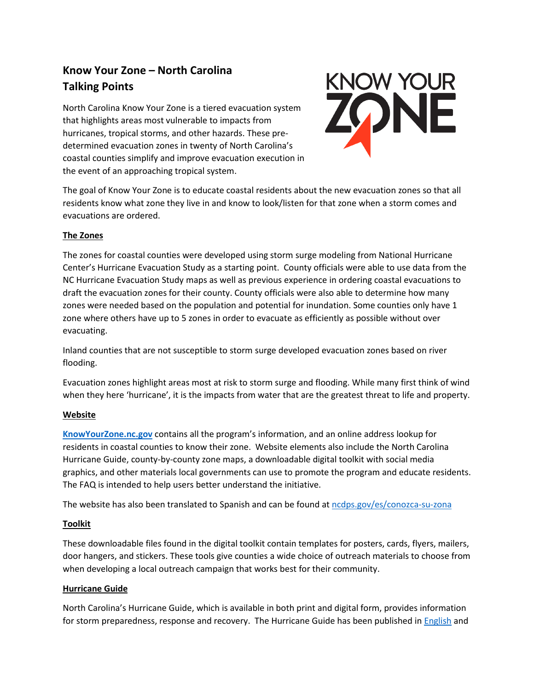# **Know Your Zone – North Carolina Talking Points**

North Carolina Know Your Zone is a tiered evacuation system that highlights areas most vulnerable to impacts from hurricanes, tropical storms, and other hazards. These predetermined evacuation zones in twenty of North Carolina's coastal counties simplify and improve evacuation execution in the event of an approaching tropical system.



The goal of Know Your Zone is to educate coastal residents about the new evacuation zones so that all residents know what zone they live in and know to look/listen for that zone when a storm comes and evacuations are ordered.

# **The Zones**

The zones for coastal counties were developed using storm surge modeling from National Hurricane Center's Hurricane Evacuation Study as a starting point. County officials were able to use data from the NC Hurricane Evacuation Study maps as well as previous experience in ordering coastal evacuations to draft the evacuation zones for their county. County officials were also able to determine how many zones were needed based on the population and potential for inundation. Some counties only have 1 zone where others have up to 5 zones in order to evacuate as efficiently as possible without over evacuating.

Inland counties that are not susceptible to storm surge developed evacuation zones based on river flooding.

Evacuation zones highlight areas most at risk to storm surge and flooding. While many first think of wind when they here 'hurricane', it is the impacts from water that are the greatest threat to life and property.

# **Website**

**[KnowYourZone.nc.gov](http://knowyourzone.nc.gov/)** contains all the program's information, and an online address lookup for residents in coastal counties to know their zone. Website elements also include the North Carolina Hurricane Guide, county-by-county zone maps, a downloadable digital toolkit with social media graphics, and other materials local governments can use to promote the program and educate residents. The FAQ is intended to help users better understand the initiative.

The website has also been translated to Spanish and can be found a[t ncdps.gov/es/conozca-su-zona](https://www.ncdps.gov/es/conozca-su-zona)

# **Toolkit**

These downloadable files found in the digital toolkit contain templates for posters, cards, flyers, mailers, door hangers, and stickers. These tools give counties a wide choice of outreach materials to choose from when developing a local outreach campaign that works best for their community.

# **Hurricane Guide**

North Carolina's Hurricane Guide, which is available in both print and digital form, provides information for storm preparedness, response and recovery. The Hurricane Guide has been published in [English](https://files.nc.gov/readync/documents/files/Hurricane-Guide.pdf?mxl4z6R5daaZT9hBbTPWSnmCtF8AnGD7) and